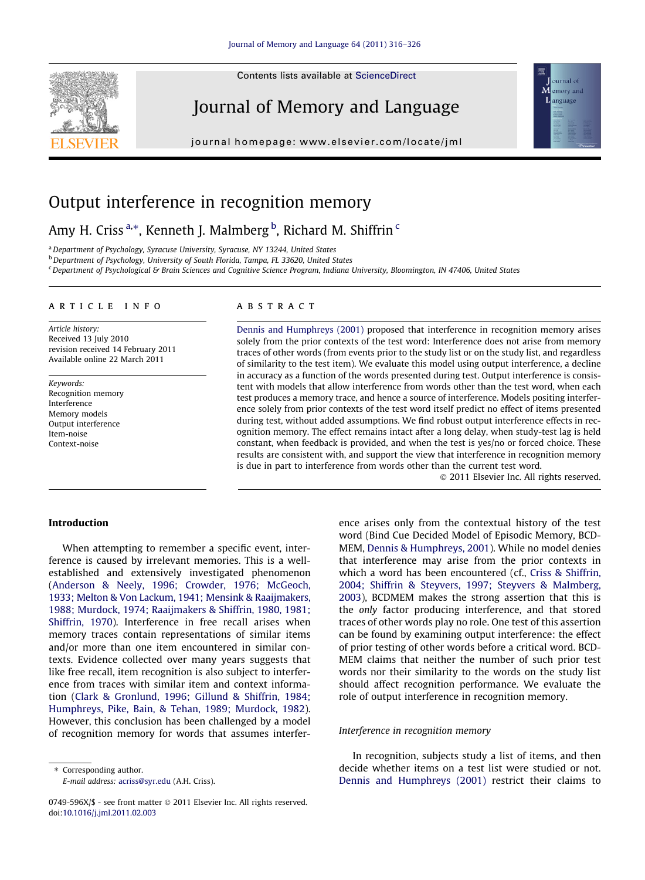Contents lists available at [ScienceDirect](http://www.sciencedirect.com/science/journal/0749596X)

# Journal of Memory and Language

journal homepage: [www.elsevier.com/locate/jml](http://www.elsevier.com/locate/jml)



## Output interference in recognition memory

### Amy H. Criss <sup>a,\*</sup>, Kenneth J. Malmberg <sup>b</sup>, Richard M. Shiffrin <sup>c</sup>

<sup>a</sup> Department of Psychology, Syracuse University, Syracuse, NY 13244, United States

<sup>b</sup> Department of Psychology, University of South Florida, Tampa, FL 33620, United States

<sup>c</sup> Department of Psychological & Brain Sciences and Cognitive Science Program, Indiana University, Bloomington, IN 47406, United States

#### article info

Article history: Received 13 July 2010 revision received 14 February 2011 Available online 22 March 2011

Keywords: Recognition memory Interference Memory models Output interference Item-noise Context-noise

#### **ABSTRACT**

[Dennis and Humphreys \(2001\)](#page--1-0) proposed that interference in recognition memory arises solely from the prior contexts of the test word: Interference does not arise from memory traces of other words (from events prior to the study list or on the study list, and regardless of similarity to the test item). We evaluate this model using output interference, a decline in accuracy as a function of the words presented during test. Output interference is consistent with models that allow interference from words other than the test word, when each test produces a memory trace, and hence a source of interference. Models positing interference solely from prior contexts of the test word itself predict no effect of items presented during test, without added assumptions. We find robust output interference effects in recognition memory. The effect remains intact after a long delay, when study-test lag is held constant, when feedback is provided, and when the test is yes/no or forced choice. These results are consistent with, and support the view that interference in recognition memory is due in part to interference from words other than the current test word.

- 2011 Elsevier Inc. All rights reserved.

#### Introduction

When attempting to remember a specific event, interference is caused by irrelevant memories. This is a wellestablished and extensively investigated phenomenon [\(Anderson & Neely, 1996; Crowder, 1976; McGeoch,](#page--1-0) [1933; Melton & Von Lackum, 1941; Mensink & Raaijmakers,](#page--1-0) [1988; Murdock, 1974; Raaijmakers & Shiffrin, 1980, 1981;](#page--1-0) [Shiffrin, 1970](#page--1-0)). Interference in free recall arises when memory traces contain representations of similar items and/or more than one item encountered in similar contexts. Evidence collected over many years suggests that like free recall, item recognition is also subject to interference from traces with similar item and context information [\(Clark & Gronlund, 1996; Gillund & Shiffrin, 1984;](#page--1-0) [Humphreys, Pike, Bain, & Tehan, 1989; Murdock, 1982](#page--1-0)). However, this conclusion has been challenged by a model of recognition memory for words that assumes interfer-

⇑ Corresponding author. E-mail address: [acriss@syr.edu](mailto:acriss@syr.edu) (A.H. Criss). ence arises only from the contextual history of the test word (Bind Cue Decided Model of Episodic Memory, BCD-MEM, [Dennis & Humphreys, 2001](#page--1-0)). While no model denies that interference may arise from the prior contexts in which a word has been encountered (cf., [Criss & Shiffrin,](#page--1-0) [2004; Shiffrin & Steyvers, 1997; Steyvers & Malmberg,](#page--1-0) [2003](#page--1-0)), BCDMEM makes the strong assertion that this is the only factor producing interference, and that stored traces of other words play no role. One test of this assertion can be found by examining output interference: the effect of prior testing of other words before a critical word. BCD-MEM claims that neither the number of such prior test words nor their similarity to the words on the study list should affect recognition performance. We evaluate the role of output interference in recognition memory.

#### Interference in recognition memory

In recognition, subjects study a list of items, and then decide whether items on a test list were studied or not. [Dennis and Humphreys \(2001\)](#page--1-0) restrict their claims to



<sup>0749-596</sup>X/\$ - see front matter © 2011 Elsevier Inc. All rights reserved. doi[:10.1016/j.jml.2011.02.003](http://dx.doi.org/10.1016/j.jml.2011.02.003)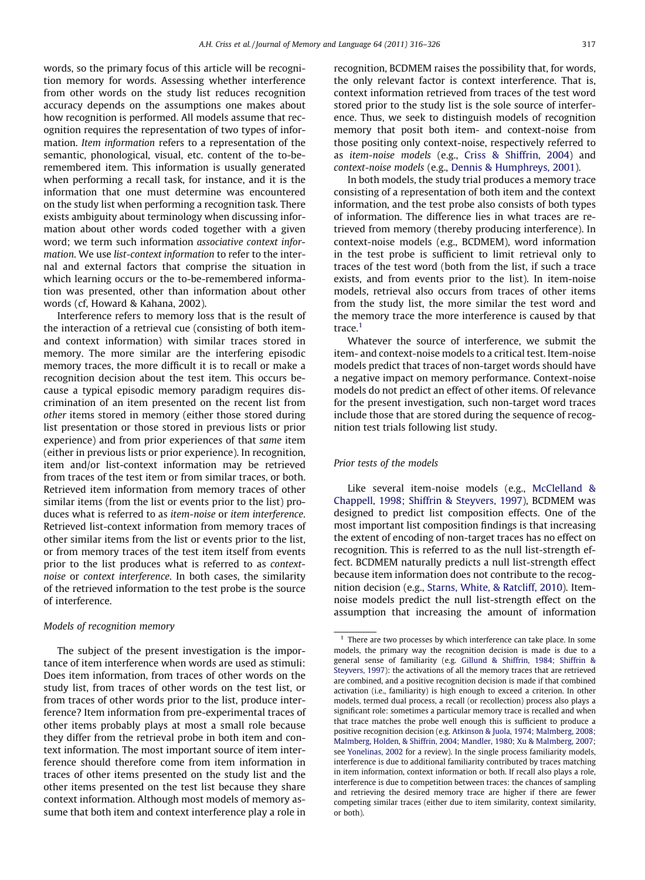words, so the primary focus of this article will be recognition memory for words. Assessing whether interference from other words on the study list reduces recognition accuracy depends on the assumptions one makes about how recognition is performed. All models assume that recognition requires the representation of two types of information. Item information refers to a representation of the semantic, phonological, visual, etc. content of the to-beremembered item. This information is usually generated when performing a recall task, for instance, and it is the information that one must determine was encountered on the study list when performing a recognition task. There exists ambiguity about terminology when discussing information about other words coded together with a given word; we term such information associative context information. We use list-context information to refer to the internal and external factors that comprise the situation in which learning occurs or the to-be-remembered information was presented, other than information about other words (cf, Howard & Kahana, 2002).

Interference refers to memory loss that is the result of the interaction of a retrieval cue (consisting of both itemand context information) with similar traces stored in memory. The more similar are the interfering episodic memory traces, the more difficult it is to recall or make a recognition decision about the test item. This occurs because a typical episodic memory paradigm requires discrimination of an item presented on the recent list from other items stored in memory (either those stored during list presentation or those stored in previous lists or prior experience) and from prior experiences of that same item (either in previous lists or prior experience). In recognition, item and/or list-context information may be retrieved from traces of the test item or from similar traces, or both. Retrieved item information from memory traces of other similar items (from the list or events prior to the list) produces what is referred to as item-noise or item interference. Retrieved list-context information from memory traces of other similar items from the list or events prior to the list, or from memory traces of the test item itself from events prior to the list produces what is referred to as contextnoise or context interference. In both cases, the similarity of the retrieved information to the test probe is the source of interference.

#### Models of recognition memory

The subject of the present investigation is the importance of item interference when words are used as stimuli: Does item information, from traces of other words on the study list, from traces of other words on the test list, or from traces of other words prior to the list, produce interference? Item information from pre-experimental traces of other items probably plays at most a small role because they differ from the retrieval probe in both item and context information. The most important source of item interference should therefore come from item information in traces of other items presented on the study list and the other items presented on the test list because they share context information. Although most models of memory assume that both item and context interference play a role in

recognition, BCDMEM raises the possibility that, for words, the only relevant factor is context interference. That is, context information retrieved from traces of the test word stored prior to the study list is the sole source of interference. Thus, we seek to distinguish models of recognition memory that posit both item- and context-noise from those positing only context-noise, respectively referred to as item-noise models (e.g., [Criss & Shiffrin, 2004\)](#page--1-0) and context-noise models (e.g., [Dennis & Humphreys, 2001\)](#page--1-0).

In both models, the study trial produces a memory trace consisting of a representation of both item and the context information, and the test probe also consists of both types of information. The difference lies in what traces are retrieved from memory (thereby producing interference). In context-noise models (e.g., BCDMEM), word information in the test probe is sufficient to limit retrieval only to traces of the test word (both from the list, if such a trace exists, and from events prior to the list). In item-noise models, retrieval also occurs from traces of other items from the study list, the more similar the test word and the memory trace the more interference is caused by that trace.<sup>1</sup>

Whatever the source of interference, we submit the item- and context-noise models to a critical test. Item-noise models predict that traces of non-target words should have a negative impact on memory performance. Context-noise models do not predict an effect of other items. Of relevance for the present investigation, such non-target word traces include those that are stored during the sequence of recognition test trials following list study.

#### Prior tests of the models

Like several item-noise models (e.g., [McClelland &](#page--1-0) [Chappell, 1998; Shiffrin & Steyvers, 1997](#page--1-0)), BCDMEM was designed to predict list composition effects. One of the most important list composition findings is that increasing the extent of encoding of non-target traces has no effect on recognition. This is referred to as the null list-strength effect. BCDMEM naturally predicts a null list-strength effect because item information does not contribute to the recognition decision (e.g., [Starns, White, & Ratcliff, 2010\)](#page--1-0). Itemnoise models predict the null list-strength effect on the assumption that increasing the amount of information

There are two processes by which interference can take place. In some models, the primary way the recognition decision is made is due to a general sense of familiarity (e.g. [Gillund & Shiffrin, 1984; Shiffrin &](#page--1-0) [Steyvers, 1997\)](#page--1-0): the activations of all the memory traces that are retrieved are combined, and a positive recognition decision is made if that combined activation (i.e., familiarity) is high enough to exceed a criterion. In other models, termed dual process, a recall (or recollection) process also plays a significant role: sometimes a particular memory trace is recalled and when that trace matches the probe well enough this is sufficient to produce a positive recognition decision (e.g. [Atkinson & Juola, 1974; Malmberg, 2008;](#page--1-0) [Malmberg, Holden, & Shiffrin, 2004; Mandler, 1980; Xu & Malmberg, 2007;](#page--1-0) see [Yonelinas, 2002](#page--1-0) for a review). In the single process familiarity models, interference is due to additional familiarity contributed by traces matching in item information, context information or both. If recall also plays a role, interference is due to competition between traces: the chances of sampling and retrieving the desired memory trace are higher if there are fewer competing similar traces (either due to item similarity, context similarity, or both).